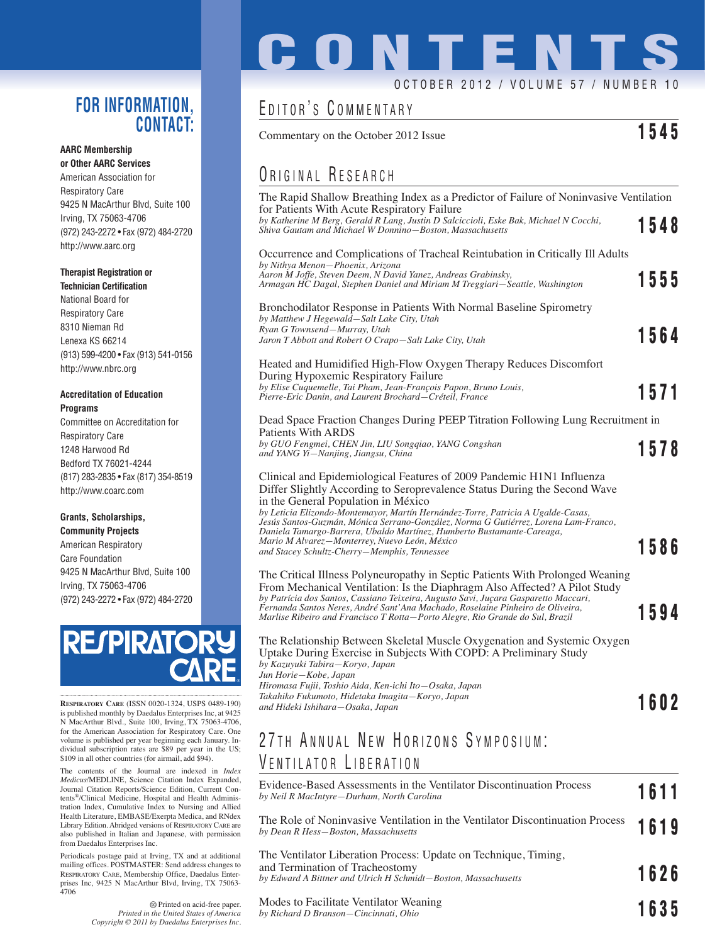### **FOR INFORMATION, CONTACT:**

### **AARC Membership or Other AARC Services**

American Association for Respiratory Care 9425 N MacArthur Blvd, Suite 100 Irving, TX 75063-4706 (972) 243-2272 • Fax (972) 484-2720 http://www.aarc.org

### **Therapist Registration or**

**Technician Certification** National Board for Respiratory Care 8310 Nieman Rd Lenexa KS 66214 (913) 599-4200 • Fax (913) 541-0156 http://www.nbrc.org

### **Accreditation of Education Programs**

Committee on Accreditation for Respiratory Care 1248 Harwood Rd Bedford TX 76021-4244 (817) 283-2835 • Fax (817) 354-8519 http://www.coarc.com

### **Grants, Scholarships,**

**Community Projects** American Respiratory Care Foundation 9425 N MacArthur Blvd, Suite 100 Irving, TX 75063-4706 (972) 243-2272 • Fax (972) 484-2720



**RESPIRATORY CARE** (ISSN 0020-1324, USPS 0489-190) is published monthly by Daedalus Enterprises Inc, at 9425 N MacArthur Blvd., Suite 100, Irving, TX 75063-4706, for the American Association for Respiratory Care. One volume is published per year beginning each January. Individual subscription rates are \$89 per year in the US; \$109 in all other countries (for airmail, add \$94).

The contents of the Journal are indexed in *Index Medicus*/MEDLINE, Science Citation Index Expanded, Journal Citation Reports/Science Edition, Current Contents®/Clinical Medicine, Hospital and Health Administration Index, Cumulative Index to Nursing and Allied Health Literature, EMBASE/Exerpta Medica, and RNdex Library Edition. Abridged versions of RESPIRATORY CARE are also published in Italian and Japanese, with permission from Daedalus Enterprises Inc.

Periodicals postage paid at Irving, TX and at additional mailing offices. POSTMASTER: Send address changes to RESPIRATORY CARE, Membership Office, Daedalus Enterprises Inc, 9425 N MacArthur Blvd, Irving, TX 75063- 4706

> Printed on acid-free paper. *Printed in the United States of America Copyright © 2011 by Daedalus Enterprises Inc.*

# **CONTENTS** OCTOBER 2012 / VOLUME 57 / NUMBER 10

## EDITOR'S COMMENTARY

Commentary on the October 2012 Issue **1545**

## ORIGINAL RESEARCH

| The Rapid Shallow Breathing Index as a Predictor of Failure of Noninvasive Ventilation                                                                                                                                                                                                                                                                                                                                                                                                          |      |
|-------------------------------------------------------------------------------------------------------------------------------------------------------------------------------------------------------------------------------------------------------------------------------------------------------------------------------------------------------------------------------------------------------------------------------------------------------------------------------------------------|------|
| for Patients With Acute Respiratory Failure<br>by Katherine M Berg, Gerald R Lang, Justin D Salciccioli, Eske Bak, Michael N Cocchi,<br>Shiva Gautam and Michael W Donnino-Boston, Massachusetts                                                                                                                                                                                                                                                                                                | 1548 |
| Occurrence and Complications of Tracheal Reintubation in Critically Ill Adults<br>by Nithya Menon-Phoenix, Arizona<br>Aaron M Joffe, Steven Deem, N David Yanez, Andreas Grabinsky,<br>Armagan HC Dagal, Stephen Daniel and Miriam M Treggiari-Seattle, Washington                                                                                                                                                                                                                              | 1555 |
| Bronchodilator Response in Patients With Normal Baseline Spirometry<br>by Matthew J Hegewald-Salt Lake City, Utah<br>Ryan G Townsend-Murray, Utah<br>Jaron T Abbott and Robert O Crapo-Salt Lake City, Utah                                                                                                                                                                                                                                                                                     | 1564 |
| Heated and Humidified High-Flow Oxygen Therapy Reduces Discomfort<br>During Hypoxemic Respiratory Failure                                                                                                                                                                                                                                                                                                                                                                                       |      |
| by Elise Cuquemelle, Tai Pham, Jean-François Papon, Bruno Louis,<br>Pierre-Eric Danin, and Laurent Brochard-Créteil, France                                                                                                                                                                                                                                                                                                                                                                     | 1571 |
| Dead Space Fraction Changes During PEEP Titration Following Lung Recruitment in<br>Patients With ARDS                                                                                                                                                                                                                                                                                                                                                                                           |      |
| by GUO Fengmei, CHEN Jin, LIU Songqiao, YANG Congshan<br>and YANG Yi-Nanjing, Jiangsu, China                                                                                                                                                                                                                                                                                                                                                                                                    | 1578 |
| Clinical and Epidemiological Features of 2009 Pandemic H1N1 Influenza<br>Differ Slightly According to Seroprevalence Status During the Second Wave<br>in the General Population in México<br>by Leticia Elizondo-Montemayor, Martín Hernández-Torre, Patricia A Ugalde-Casas,<br>Jesús Santos-Guzmán, Mónica Serrano-González, Norma G Gutiérrez, Lorena Lam-Franco,<br>Daniela Tamargo-Barrera, Ubaldo Martínez, Humberto Bustamante-Careaga,<br>Mario M Alvarez-Monterrey, Nuevo León, México |      |
| and Stacey Schultz-Cherry-Memphis, Tennessee                                                                                                                                                                                                                                                                                                                                                                                                                                                    | 1586 |
| The Critical Illness Polyneuropathy in Septic Patients With Prolonged Weaning<br>From Mechanical Ventilation: Is the Diaphragm Also Affected? A Pilot Study<br>by Patrícia dos Santos, Cassiano Teixeira, Augusto Savi, Juçara Gasparetto Maccari,<br>Fernanda Santos Neres, André Sant'Ana Machado, Roselaine Pinheiro de Oliveira,<br>Marlise Ribeiro and Francisco T Rotta-Porto Alegre, Rio Grande do Sul, Brazil                                                                           | 1594 |
| The Relationship Between Skeletal Muscle Oxygenation and Systemic Oxygen<br>Uptake During Exercise in Subjects With COPD: A Preliminary Study<br>by Kazuyuki Tabira-Koryo, Japan<br>Jun Horie-Kobe, Japan                                                                                                                                                                                                                                                                                       |      |
| Hiromasa Fujii, Toshio Aida, Ken-ichi Ito-Osaka, Japan<br>Takahiko Fukumoto, Hidetaka Imagita-Koryo, Japan                                                                                                                                                                                                                                                                                                                                                                                      |      |
| and Hideki Ishihara-Osaka, Japan                                                                                                                                                                                                                                                                                                                                                                                                                                                                | 1602 |
| 27TH ANNUAL NEW HORIZONS SYMPOSIUM:                                                                                                                                                                                                                                                                                                                                                                                                                                                             |      |
| VENTILATOR LIBERATION                                                                                                                                                                                                                                                                                                                                                                                                                                                                           |      |
| Evidence-Based Assessments in the Ventilator Discontinuation Process<br>by Neil R MacIntyre-Durham, North Carolina                                                                                                                                                                                                                                                                                                                                                                              | 1611 |
|                                                                                                                                                                                                                                                                                                                                                                                                                                                                                                 |      |

| The Role of Noninvasive Ventilation in the Ventilator Discontinuation Process 1619<br>by Dean R Hess-Boston, Massachusetts |  |
|----------------------------------------------------------------------------------------------------------------------------|--|
| The Ventilator Liberation Process: Update on Technique, Timing,                                                            |  |

| and Termination of Tracheostomy<br>by Edward A Bittner and Ulrich H Schmidt-Boston, Massachusetts |  | 1626 |  |
|---------------------------------------------------------------------------------------------------|--|------|--|
|                                                                                                   |  |      |  |

Modes to Facilitate Ventilator Weaning *by Richard D Branson—Cincinnati, Ohio* **1635**